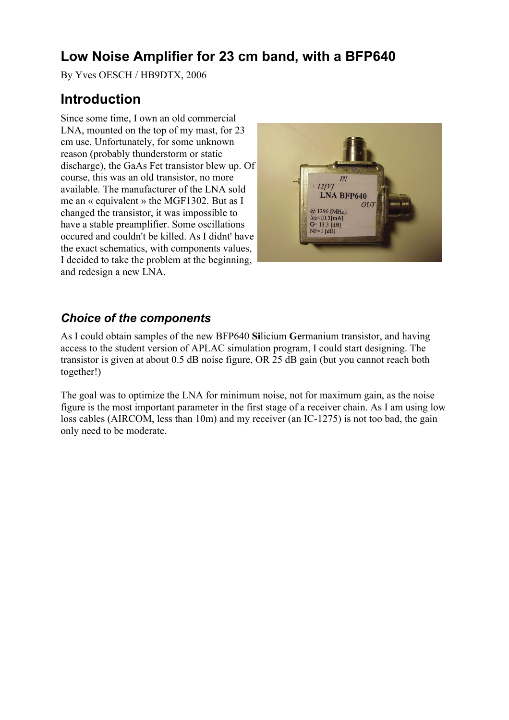# **Low Noise Amplifier for 23 cm band, with a BFP640**

By Yves OESCH / HB9DTX, 2006

# **Introduction**

Since some time, I own an old commercial LNA, mounted on the top of my mast, for 23 cm use. Unfortunately, for some unknown reason (probably thunderstorm or static discharge), the GaAs Fet transistor blew up. Of course, this was an old transistor, no more available. The manufacturer of the LNA sold me an « equivalent » the MGF1302. But as I changed the transistor, it was impossible to have a stable preamplifier. Some oscillations occured and couldn't be killed. As I didnt' have the exact schematics, with components values, I decided to take the problem at the beginning, and redesign a new LNA.



## *Choice of the components*

As I could obtain samples of the new BFP640 **Si**licium **Ge**rmanium transistor, and having access to the student version of APLAC simulation program, I could start designing. The transistor is given at about 0.5 dB noise figure, OR 25 dB gain (but you cannot reach both together!)

The goal was to optimize the LNA for minimum noise, not for maximum gain, as the noise figure is the most important parameter in the first stage of a receiver chain. As I am using low loss cables (AIRCOM, less than 10m) and my receiver (an IC-1275) is not too bad, the gain only need to be moderate.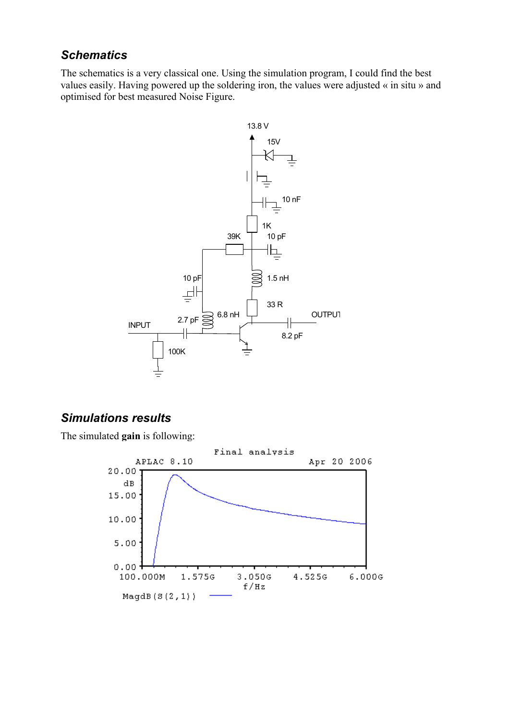### *Schematics*

The schematics is a very classical one. Using the simulation program, I could find the best values easily. Having powered up the soldering iron, the values were adjusted « in situ » and optimised for best measured Noise Figure.



### *Simulations results*

The simulated **gain** is following:

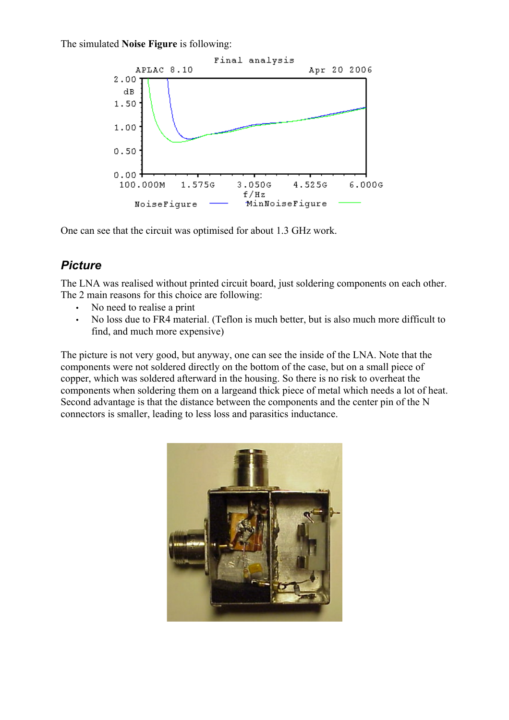The simulated **Noise Figure** is following:



One can see that the circuit was optimised for about 1.3 GHz work.

#### *Picture*

The LNA was realised without printed circuit board, just soldering components on each other. The 2 main reasons for this choice are following:

- No need to realise a print
- No loss due to FR4 material. (Teflon is much better, but is also much more difficult to find, and much more expensive)

The picture is not very good, but anyway, one can see the inside of the LNA. Note that the components were not soldered directly on the bottom of the case, but on a small piece of copper, which was soldered afterward in the housing. So there is no risk to overheat the components when soldering them on a largeand thick piece of metal which needs a lot of heat. Second advantage is that the distance between the components and the center pin of the N connectors is smaller, leading to less loss and parasitics inductance.